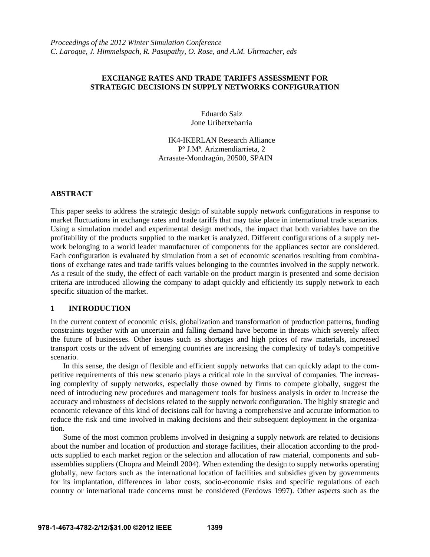# **EXCHANGE RATES AND TRADE TARIFFS ASSESSMENT FOR STRATEGIC DECISIONS IN SUPPLY NETWORKS CONFIGURATION**

Eduardo Saiz Jone Uribetxebarria

IK4-IKERLAN Research Alliance Pº J.Mª. Arizmendiarrieta, 2 Arrasate-Mondragón, 20500, SPAIN

# **ABSTRACT**

This paper seeks to address the strategic design of suitable supply network configurations in response to market fluctuations in exchange rates and trade tariffs that may take place in international trade scenarios. Using a simulation model and experimental design methods, the impact that both variables have on the profitability of the products supplied to the market is analyzed. Different configurations of a supply network belonging to a world leader manufacturer of components for the appliances sector are considered. Each configuration is evaluated by simulation from a set of economic scenarios resulting from combinations of exchange rates and trade tariffs values belonging to the countries involved in the supply network. As a result of the study, the effect of each variable on the product margin is presented and some decision criteria are introduced allowing the company to adapt quickly and efficiently its supply network to each specific situation of the market.

### **1 INTRODUCTION**

In the current context of economic crisis, globalization and transformation of production patterns, funding constraints together with an uncertain and falling demand have become in threats which severely affect the future of businesses. Other issues such as shortages and high prices of raw materials, increased transport costs or the advent of emerging countries are increasing the complexity of today's competitive scenario.

In this sense, the design of flexible and efficient supply networks that can quickly adapt to the competitive requirements of this new scenario plays a critical role in the survival of companies. The increasing complexity of supply networks, especially those owned by firms to compete globally, suggest the need of introducing new procedures and management tools for business analysis in order to increase the accuracy and robustness of decisions related to the supply network configuration. The highly strategic and economic relevance of this kind of decisions call for having a comprehensive and accurate information to reduce the risk and time involved in making decisions and their subsequent deployment in the organization.

Some of the most common problems involved in designing a supply network are related to decisions about the number and location of production and storage facilities, their allocation according to the products supplied to each market region or the selection and allocation of raw material, components and subassemblies suppliers (Chopra and Meindl 2004). When extending the design to supply networks operating globally, new factors such as the international location of facilities and subsidies given by governments for its implantation, differences in labor costs, socio-economic risks and specific regulations of each country or international trade concerns must be considered (Ferdows 1997). Other aspects such as the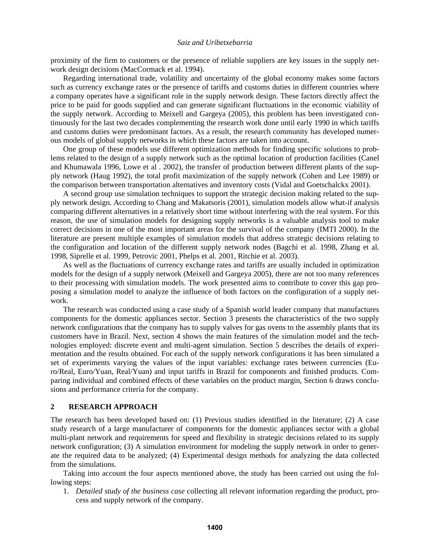proximity of the firm to customers or the presence of reliable suppliers are key issues in the supply network design decisions (MacCormack et al. 1994).

Regarding international trade, volatility and uncertainty of the global economy makes some factors such as currency exchange rates or the presence of tariffs and customs duties in different countries where a company operates have a significant role in the supply network design. These factors directly affect the price to be paid for goods supplied and can generate significant fluctuations in the economic viability of the supply network. According to Meixell and Gargeya (2005), this problem has been investigated continuously for the last two decades complementing the research work done until early 1990 in which tariffs and customs duties were predominant factors. As a result, the research community has developed numerous models of global supply networks in which these factors are taken into account.

One group of these models use different optimization methods for finding specific solutions to problems related to the design of a supply network such as the optimal location of production facilities (Canel and Khumawala 1996, Lowe et al . 2002), the transfer of production between different plants of the supply network (Haug 1992), the total profit maximization of the supply network (Cohen and Lee 1989) or the comparison between transportation alternatives and inventory costs (Vidal and Goetschalckx 2001).

A second group use simulation techniques to support the strategic decision making related to the supply network design. According to Chang and Makatsoris (2001), simulation models allow what-if analysis comparing different alternatives in a relatively short time without interfering with the real system. For this reason, the use of simulation models for designing supply networks is a valuable analysis tool to make correct decisions in one of the most important areas for the survival of the company (IMTI 2000). In the literature are present multiple examples of simulation models that address strategic decisions relating to the configuration and location of the different supply network nodes (Bagchi et al. 1998, Zhang et al. 1998, Siprelle et al. 1999, Petrovic 2001, Phelps et al. 2001, Ritchie et al. 2003).

As well as the fluctuations of currency exchange rates and tariffs are usually included in optimization models for the design of a supply network (Meixell and Gargeya 2005), there are not too many references to their processing with simulation models. The work presented aims to contribute to cover this gap proposing a simulation model to analyze the influence of both factors on the configuration of a supply network.

The research was conducted using a case study of a Spanish world leader company that manufactures components for the domestic appliances sector. Section 3 presents the characteristics of the two supply network configurations that the company has to supply valves for gas ovens to the assembly plants that its customers have in Brazil. Next, section 4 shows the main features of the simulation model and the technologies employed: discrete event and multi-agent simulation. Section 5 describes the details of experimentation and the results obtained. For each of the supply network configurations it has been simulated a set of experiments varying the values of the input variables: exchange rates between currencies (Euro/Real, Euro/Yuan, Real/Yuan) and input tariffs in Brazil for components and finished products. Comparing individual and combined effects of these variables on the product margin, Section 6 draws conclusions and performance criteria for the company.

## **2 RESEARCH APPROACH**

The research has been developed based on: (1) Previous studies identified in the literature; (2) A case study research of a large manufacturer of components for the domestic appliances sector with a global multi-plant network and requirements for speed and flexibility in strategic decisions related to its supply network configuration; (3) A simulation environment for modeling the supply network in order to generate the required data to be analyzed; (4) Experimental design methods for analyzing the data collected from the simulations.

Taking into account the four aspects mentioned above, the study has been carried out using the following steps:

1. *Detailed study of the business case* collecting all relevant information regarding the product, process and supply network of the company.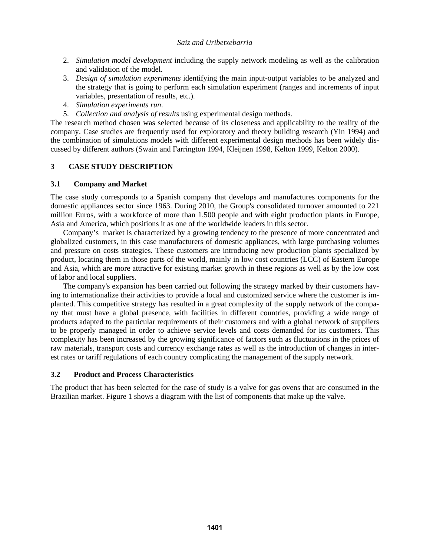- 2. *Simulation model development* including the supply network modeling as well as the calibration and validation of the model.
- 3. *Design of simulation experiments* identifying the main input-output variables to be analyzed and the strategy that is going to perform each simulation experiment (ranges and increments of input variables, presentation of results, etc.).
- 4. *Simulation experiments run*.
- 5. *Collection and analysis of results* using experimental design methods.

The research method chosen was selected because of its closeness and applicability to the reality of the company. Case studies are frequently used for exploratory and theory building research (Yin 1994) and the combination of simulations models with different experimental design methods has been widely discussed by different authors (Swain and Farrington 1994, Kleijnen 1998, Kelton 1999, Kelton 2000).

# **3 CASE STUDY DESCRIPTION**

# **3.1 Company and Market**

The case study corresponds to a Spanish company that develops and manufactures components for the domestic appliances sector since 1963. During 2010, the Group's consolidated turnover amounted to 221 million Euros, with a workforce of more than 1,500 people and with eight production plants in Europe, Asia and America, which positions it as one of the worldwide leaders in this sector.

Company's market is characterized by a growing tendency to the presence of more concentrated and globalized customers, in this case manufacturers of domestic appliances, with large purchasing volumes and pressure on costs strategies. These customers are introducing new production plants specialized by product, locating them in those parts of the world, mainly in low cost countries (LCC) of Eastern Europe and Asia, which are more attractive for existing market growth in these regions as well as by the low cost of labor and local suppliers.

The company's expansion has been carried out following the strategy marked by their customers having to internationalize their activities to provide a local and customized service where the customer is implanted. This competitive strategy has resulted in a great complexity of the supply network of the company that must have a global presence, with facilities in different countries, providing a wide range of products adapted to the particular requirements of their customers and with a global network of suppliers to be properly managed in order to achieve service levels and costs demanded for its customers. This complexity has been increased by the growing significance of factors such as fluctuations in the prices of raw materials, transport costs and currency exchange rates as well as the introduction of changes in interest rates or tariff regulations of each country complicating the management of the supply network.

# **3.2 Product and Process Characteristics**

The product that has been selected for the case of study is a valve for gas ovens that are consumed in the Brazilian market. Figure 1 shows a diagram with the list of components that make up the valve.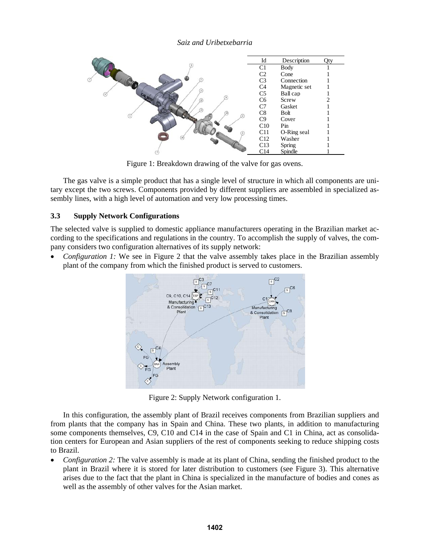

Figure 1: Breakdown drawing of the valve for gas ovens.

The gas valve is a simple product that has a single level of structure in which all components are unitary except the two screws. Components provided by different suppliers are assembled in specialized assembly lines, with a high level of automation and very low processing times.

# **3.3 Supply Network Configurations**

The selected valve is supplied to domestic appliance manufacturers operating in the Brazilian market according to the specifications and regulations in the country. To accomplish the supply of valves, the company considers two configuration alternatives of its supply network:

• *Configuration 1:* We see in Figure 2 that the valve assembly takes place in the Brazilian assembly plant of the company from which the finished product is served to customers.



Figure 2: Supply Network configuration 1.

In this configuration, the assembly plant of Brazil receives components from Brazilian suppliers and from plants that the company has in Spain and China. These two plants, in addition to manufacturing some components themselves, C9, C10 and C14 in the case of Spain and C1 in China, act as consolidation centers for European and Asian suppliers of the rest of components seeking to reduce shipping costs to Brazil.

 *Configuration 2:* The valve assembly is made at its plant of China, sending the finished product to the plant in Brazil where it is stored for later distribution to customers (see Figure 3). This alternative arises due to the fact that the plant in China is specialized in the manufacture of bodies and cones as well as the assembly of other valves for the Asian market.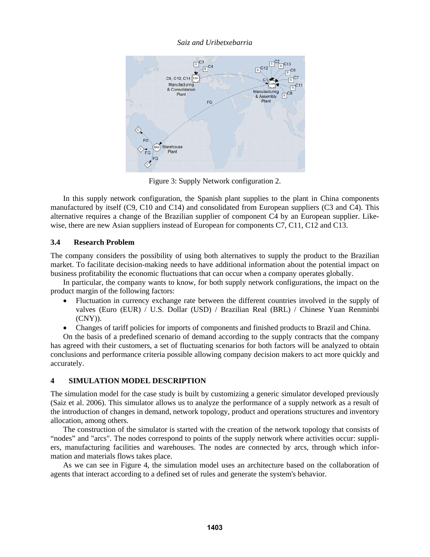

Figure 3: Supply Network configuration 2.

In this supply network configuration, the Spanish plant supplies to the plant in China components manufactured by itself (C9, C10 and C14) and consolidated from European suppliers (C3 and C4). This alternative requires a change of the Brazilian supplier of component C4 by an European supplier. Likewise, there are new Asian suppliers instead of European for components C7, C11, C12 and C13.

## **3.4 Research Problem**

The company considers the possibility of using both alternatives to supply the product to the Brazilian market. To facilitate decision-making needs to have additional information about the potential impact on business profitability the economic fluctuations that can occur when a company operates globally.

In particular, the company wants to know, for both supply network configurations, the impact on the product margin of the following factors:

- Fluctuation in currency exchange rate between the different countries involved in the supply of valves (Euro (EUR) / U.S. Dollar (USD) / Brazilian Real (BRL) / Chinese Yuan Renminbi (CNY)).
- Changes of tariff policies for imports of components and finished products to Brazil and China.

On the basis of a predefined scenario of demand according to the supply contracts that the company has agreed with their customers, a set of fluctuating scenarios for both factors will be analyzed to obtain conclusions and performance criteria possible allowing company decision makers to act more quickly and accurately.

# **4 SIMULATION MODEL DESCRIPTION**

The simulation model for the case study is built by customizing a generic simulator developed previously (Saiz et al. 2006). This simulator allows us to analyze the performance of a supply network as a result of the introduction of changes in demand, network topology, product and operations structures and inventory allocation, among others.

The construction of the simulator is started with the creation of the network topology that consists of "nodes" and "arcs". The nodes correspond to points of the supply network where activities occur: suppliers, manufacturing facilities and warehouses. The nodes are connected by arcs, through which information and materials flows takes place.

As we can see in Figure 4, the simulation model uses an architecture based on the collaboration of agents that interact according to a defined set of rules and generate the system's behavior.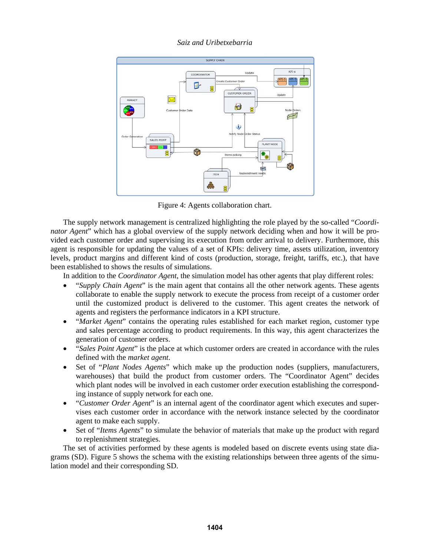*Saiz and Uribetxebarria* 



Figure 4: Agents collaboration chart.

The supply network management is centralized highlighting the role played by the so-called "*Coordinator Agent*" which has a global overview of the supply network deciding when and how it will be provided each customer order and supervising its execution from order arrival to delivery. Furthermore, this agent is responsible for updating the values of a set of KPIs: delivery time, assets utilization, inventory levels, product margins and different kind of costs (production, storage, freight, tariffs, etc.), that have been established to shows the results of simulations.

In addition to the *Coordinator Agent*, the simulation model has other agents that play different roles:

- "*Supply Chain Agent*" is the main agent that contains all the other network agents. These agents collaborate to enable the supply network to execute the process from receipt of a customer order until the customized product is delivered to the customer. This agent creates the network of agents and registers the performance indicators in a KPI structure.
- "*Market Agent*" contains the operating rules established for each market region, customer type and sales percentage according to product requirements. In this way, this agent characterizes the generation of customer orders.
- "*Sales Point Agent*" is the place at which customer orders are created in accordance with the rules defined with the *market agent*.
- Set of "*Plant Nodes Agents*" which make up the production nodes (suppliers, manufacturers, warehouses) that build the product from customer orders. The "Coordinator Agent" decides which plant nodes will be involved in each customer order execution establishing the corresponding instance of supply network for each one.
- "*Customer Order Agent*" is an internal agent of the coordinator agent which executes and supervises each customer order in accordance with the network instance selected by the coordinator agent to make each supply.
- Set of "*Items Agents*" to simulate the behavior of materials that make up the product with regard to replenishment strategies.

The set of activities performed by these agents is modeled based on discrete events using state diagrams (SD). Figure 5 shows the schema with the existing relationships between three agents of the simulation model and their corresponding SD.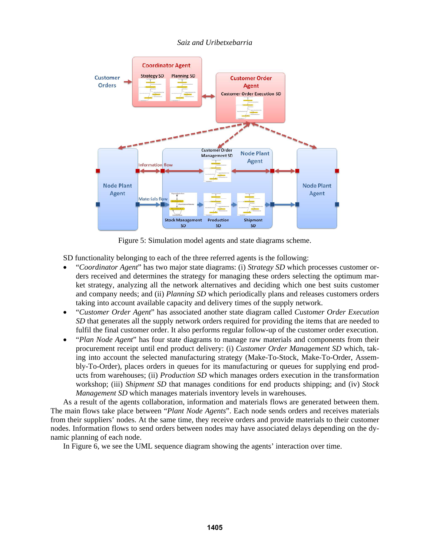

Figure 5: Simulation model agents and state diagrams scheme.

SD functionality belonging to each of the three referred agents is the following:

- "*Coordinator Agent*" has two major state diagrams: (i) *Strategy SD* which processes customer orders received and determines the strategy for managing these orders selecting the optimum market strategy, analyzing all the network alternatives and deciding which one best suits customer and company needs; and (ii) *Planning SD* which periodically plans and releases customers orders taking into account available capacity and delivery times of the supply network.
- "*Customer Order Agent*" has associated another state diagram called *Customer Order Execution SD* that generates all the supply network orders required for providing the items that are needed to fulfil the final customer order. It also performs regular follow-up of the customer order execution.
- "*Plan Node Agent*" has four state diagrams to manage raw materials and components from their procurement receipt until end product delivery: (i) *Customer Order Management SD* which, taking into account the selected manufacturing strategy (Make-To-Stock, Make-To-Order, Assembly-To-Order), places orders in queues for its manufacturing or queues for supplying end products from warehouses; (ii) *Production SD* which manages orders execution in the transformation workshop; (iii) *Shipment SD* that manages conditions for end products shipping; and (iv) *Stock Management SD* which manages materials inventory levels in warehouses*.*

As a result of the agents collaboration, information and materials flows are generated between them. The main flows take place between "*Plant Node Agents*". Each node sends orders and receives materials from their suppliers' nodes. At the same time, they receive orders and provide materials to their customer nodes. Information flows to send orders between nodes may have associated delays depending on the dynamic planning of each node.

In Figure 6, we see the UML sequence diagram showing the agents' interaction over time.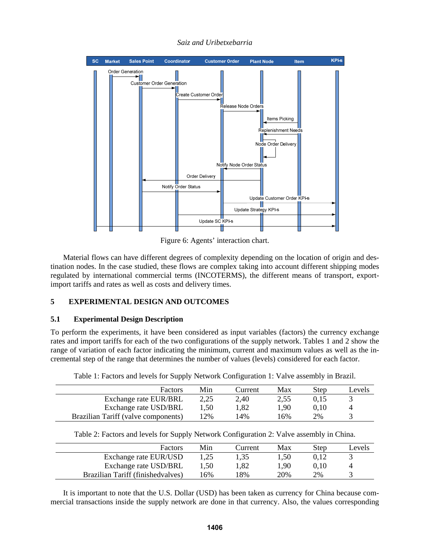

*Saiz and Uribetxebarria* 

Figure 6: Agents' interaction chart.

Material flows can have different degrees of complexity depending on the location of origin and destination nodes. In the case studied, these flows are complex taking into account different shipping modes regulated by international commercial terms (INCOTERMS), the different means of transport, exportimport tariffs and rates as well as costs and delivery times.

# **5 EXPERIMENTAL DESIGN AND OUTCOMES**

# **5.1 Experimental Design Description**

To perform the experiments, it have been considered as input variables (factors) the currency exchange rates and import tariffs for each of the two configurations of the supply network. Tables 1 and 2 show the range of variation of each factor indicating the minimum, current and maximum values as well as the incremental step of the range that determines the number of values (levels) considered for each factor.

| Factors                             | Min   | Current | Max  | Step | Levels |
|-------------------------------------|-------|---------|------|------|--------|
| Exchange rate EUR/BRL               | 2,25  | 2.40    | 2.55 | 0.15 |        |
| Exchange rate USD/BRL               | .50   | 1.82    | .90  | 0.10 |        |
| Brazilian Tariff (valve components) | $2\%$ | 14%     | 16%  | 2%   |        |

Table 1: Factors and levels for Supply Network Configuration 1: Valve assembly in Brazil.

Table 2: Factors and levels for Supply Network Configuration 2: Valve assembly in China.

| Factors                            | Min    | Current | Max               | Step | Levels |
|------------------------------------|--------|---------|-------------------|------|--------|
| Exchange rate EUR/USD              | l.25   | 1,35    | 1.50 <sub>1</sub> | 0.12 |        |
| Exchange rate USD/BRL              | . . 50 | 1.82    | .90               | 0.10 |        |
| Brazilian Tariff (finished valves) | 16%    | 18%     | 20%               | 2%   |        |

It is important to note that the U.S. Dollar (USD) has been taken as currency for China because commercial transactions inside the supply network are done in that currency. Also, the values corresponding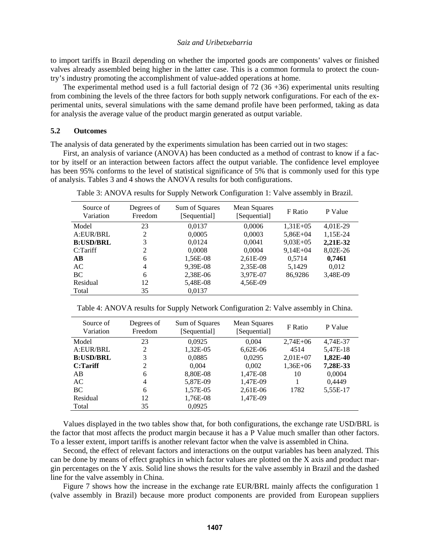to import tariffs in Brazil depending on whether the imported goods are components' valves or finished valves already assembled being higher in the latter case. This is a common formula to protect the country's industry promoting the accomplishment of value-added operations at home.

The experimental method used is a full factorial design of 72 (36  $+36$ ) experimental units resulting from combining the levels of the three factors for both supply network configurations. For each of the experimental units, several simulations with the same demand profile have been performed, taking as data for analysis the average value of the product margin generated as output variable.

#### **5.2 Outcomes**

The analysis of data generated by the experiments simulation has been carried out in two stages:

First, an analysis of variance (ANOVA) has been conducted as a method of contrast to know if a factor by itself or an interaction between factors affect the output variable. The confidence level employee has been 95% conforms to the level of statistical significance of 5% that is commonly used for this type of analysis. Tables 3 and 4 shows the ANOVA results for both configurations.

| Source of<br>Variation | Degrees of<br>Freedom | Sum of Squares<br>[Sequential] | Mean Squares<br>[Sequential] | F Ratio    | P Value  |
|------------------------|-----------------------|--------------------------------|------------------------------|------------|----------|
| Model                  | 23                    | 0.0137                         | 0.0006                       | $1,31E+05$ | 4,01E-29 |
| A:EUR/BRL              | 2                     | 0,0005                         | 0,0003                       | $5,86E+04$ | 1,15E-24 |
| <b>B:USD/BRL</b>       | 3                     | 0.0124                         | 0.0041                       | $9,03E+05$ | 2,21E-32 |
| C: Tariff              | 2                     | 0,0008                         | 0.0004                       | $9,14E+04$ | 8,02E-26 |
| $\bf AB$               | 6                     | 1,56E-08                       | 2,61E-09                     | 0,5714     | 0,7461   |
| AC.                    | $\overline{4}$        | 9,39E-08                       | 2,35E-08                     | 5,1429     | 0,012    |
| BC.                    | 6                     | 2,38E-06                       | 3,97E-07                     | 86.9286    | 3,48E-09 |
| Residual               | 12                    | 5,48E-08                       | 4,56E-09                     |            |          |
| Total                  | 35                    | 0,0137                         |                              |            |          |

Table 3: ANOVA results for Supply Network Configuration 1: Valve assembly in Brazil.

Table 4: ANOVA results for Supply Network Configuration 2: Valve assembly in China.

| Source of<br>Variation | Degrees of<br>Freedom | Sum of Squares<br>[Sequential] | Mean Squares<br>[Sequential] | F Ratio      | P Value  |
|------------------------|-----------------------|--------------------------------|------------------------------|--------------|----------|
| Model                  | 23                    | 0.0925                         | 0.004                        | $2.74E + 06$ | 4,74E-37 |
| A:EUR/BRL              | 2                     | 1,32E-05                       | 6,62E-06                     | 4514         | 5,47E-18 |
| <b>B:USD/BRL</b>       | 3                     | 0,0885                         | 0.0295                       | $2,01E+07$   | 1,82E-40 |
| C: Tariff              | 2                     | 0.004                          | 0.002                        | $1,36E+06$   | 7,28E-33 |
| AB                     | 6                     | 8,80E-08                       | 1,47E-08                     | 10           | 0,0004   |
| AC                     | $\overline{4}$        | 5,87E-09                       | 1,47E-09                     |              | 0.4449   |
| BC.                    | 6                     | 1,57E-05                       | 2,61E-06                     | 1782         | 5,55E-17 |
| Residual               | 12                    | 1,76E-08                       | 1,47E-09                     |              |          |
| Total                  | 35                    | 0.0925                         |                              |              |          |

Values displayed in the two tables show that, for both configurations, the exchange rate USD/BRL is the factor that most affects the product margin because it has a P Value much smaller than other factors. To a lesser extent, import tariffs is another relevant factor when the valve is assembled in China.

Second, the effect of relevant factors and interactions on the output variables has been analyzed. This can be done by means of effect graphics in which factor values are plotted on the X axis and product margin percentages on the Y axis. Solid line shows the results for the valve assembly in Brazil and the dashed line for the valve assembly in China.

Figure 7 shows how the increase in the exchange rate EUR/BRL mainly affects the configuration 1 (valve assembly in Brazil) because more product components are provided from European suppliers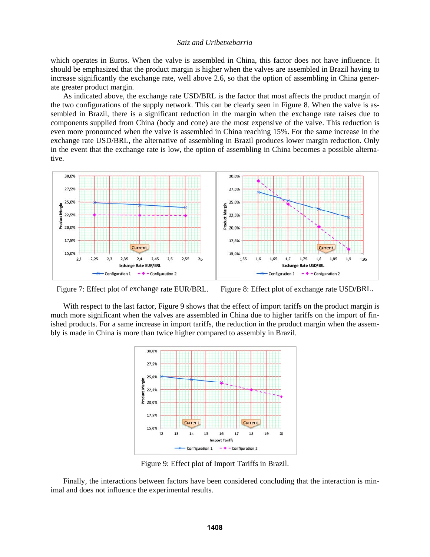which operates in Euros. When the valve is assembled in China, this factor does not have influence. It should be emphasized that the product margin is higher when the valves are assembled in Brazil having to increase significantly the exchange rate, well above 2.6, so that the option of assembling in China generate greater product margin.

As indicated above, the exchange rate USD/BRL is the factor that most affects the product margin of the two configurations of the supply network. This can be clearly seen in Figure 8. When the valve is assembled in Brazil, there is a significant reduction in the margin when the exchange rate raises due to components supplied from China (body and cone) are the most expensive of the valve. This reduction is even more pronounced when the valve is assembled in China reaching 15%. For the same increase in the exchange rate USD/BRL, the alternative of assembling in Brazil produces lower margin reduction. Only in the event that the exchange rate is low, the option of assembling in China becomes a possible alternative.



Figure 7: Effect plot of exchange rate EUR/BR

RL. Figure 8: Effect plot of exchange rate USD/BRL.

With respect to the last factor, Figure 9 shows that the effect of import tariffs on the product margin is much more significant when the valves are assembled in China due to higher tariffs on the import of finished products. For a same increase in import tariffs, the reduction in the product margin when the assembly is made in China is more than twice higher compared to assembly in Brazil.



Figure 9: Effect plot of Import Tariffs in Brazil.

Finally, the interactions between factors have been considered concluding that the interaction is minimal and does not influence the experimental results.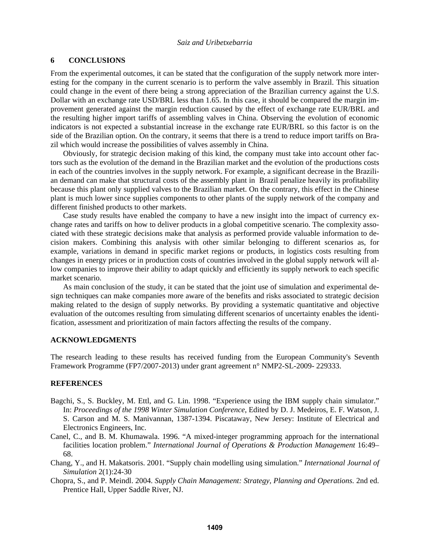### **6 CONCLUSIONS**

From the experimental outcomes, it can be stated that the configuration of the supply network more interesting for the company in the current scenario is to perform the valve assembly in Brazil. This situation could change in the event of there being a strong appreciation of the Brazilian currency against the U.S. Dollar with an exchange rate USD/BRL less than 1.65. In this case, it should be compared the margin improvement generated against the margin reduction caused by the effect of exchange rate EUR/BRL and the resulting higher import tariffs of assembling valves in China. Observing the evolution of economic indicators is not expected a substantial increase in the exchange rate EUR/BRL so this factor is on the side of the Brazilian option. On the contrary, it seems that there is a trend to reduce import tariffs on Brazil which would increase the possibilities of valves assembly in China.

Obviously, for strategic decision making of this kind, the company must take into account other factors such as the evolution of the demand in the Brazilian market and the evolution of the productions costs in each of the countries involves in the supply network. For example, a significant decrease in the Brazilian demand can make that structural costs of the assembly plant in Brazil penalize heavily its profitability because this plant only supplied valves to the Brazilian market. On the contrary, this effect in the Chinese plant is much lower since supplies components to other plants of the supply network of the company and different finished products to other markets.

Case study results have enabled the company to have a new insight into the impact of currency exchange rates and tariffs on how to deliver products in a global competitive scenario. The complexity associated with these strategic decisions make that analysis as performed provide valuable information to decision makers. Combining this analysis with other similar belonging to different scenarios as, for example, variations in demand in specific market regions or products, in logistics costs resulting from changes in energy prices or in production costs of countries involved in the global supply network will allow companies to improve their ability to adapt quickly and efficiently its supply network to each specific market scenario.

As main conclusion of the study, it can be stated that the joint use of simulation and experimental design techniques can make companies more aware of the benefits and risks associated to strategic decision making related to the design of supply networks. By providing a systematic quantitative and objective evaluation of the outcomes resulting from simulating different scenarios of uncertainty enables the identification, assessment and prioritization of main factors affecting the results of the company.

### **ACKNOWLEDGMENTS**

The research leading to these results has received funding from the European Community's Seventh Framework Programme (FP7/2007-2013) under grant agreement n° NMP2-SL-2009- 229333.

## **REFERENCES**

- Bagchi, S., S. Buckley, M. Ettl, and G. Lin. 1998. "Experience using the IBM supply chain simulator." In: *Proceedings of the 1998 Winter Simulation Conference*, Edited by D. J. Medeiros, E. F. Watson, J. S. Carson and M. S. Manivannan, 1387-1394. Piscataway, New Jersey: Institute of Electrical and Electronics Engineers, Inc.
- Canel, C., and B. M. Khumawala. 1996. "A mixed-integer programming approach for the international facilities location problem." *International Journal of Operations & Production Management* 16:49– 68.
- Chang, Y., and H. Makatsoris. 2001. "Supply chain modelling using simulation." *International Journal of Simulation* 2(1):24-30
- Chopra, S., and P. Meindl. 2004. *Supply Chain Management: Strategy, Planning and Operations*. 2nd ed. Prentice Hall, Upper Saddle River, NJ.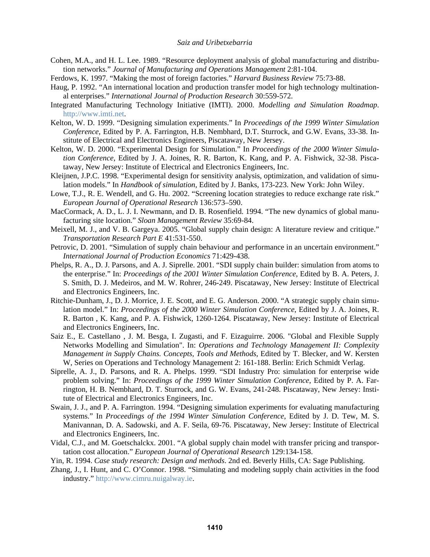- Cohen, M.A., and H. L. Lee. 1989. "Resource deployment analysis of global manufacturing and distribution networks." *Journal of Manufacturing and Operations Management* 2:81-104.
- Ferdows, K. 1997. "Making the most of foreign factories." *Harvard Business Review* 75:73-88.
- Haug, P. 1992. "An international location and production transfer model for high technology multinational enterprises." *International Journal of Production Research* 30:559-572.
- Integrated Manufacturing Technology Initiative (IMTI). 2000. *Modelling and Simulation Roadmap*. http://www.imti.net.
- Kelton, W. D. 1999. "Designing simulation experiments." In *Proceedings of the 1999 Winter Simulation Conference*, Edited by P. A. Farrington, H.B. Nembhard, D.T. Sturrock, and G.W. Evans, 33-38. Institute of Electrical and Electronics Engineers, Piscataway, New Jersey.
- Kelton, W. D. 2000. "Experimental Design for Simulation." In *Proceedings of the 2000 Winter Simulation Conference*, Edited by J. A. Joines, R. R. Barton, K. Kang, and P. A. Fishwick, 32-38. Piscataway, New Jersey: Institute of Electrical and Electronics Engineers, Inc.
- Kleijnen, J.P.C. 1998. "Experimental design for sensitivity analysis, optimization, and validation of simulation models." In *Handbook of simulation*, Edited by J. Banks, 173-223. New York: John Wiley.
- Lowe, T.J., R. E. Wendell, and G. Hu. 2002. "Screening location strategies to reduce exchange rate risk." *European Journal of Operational Research* 136:573–590.
- MacCormack, A. D., L. J. I. Newmann, and D. B. Rosenfield. 1994. "The new dynamics of global manufacturing site location." *Sloan Management Review* 35:69-84.
- Meixell, M. J., and V. B. Gargeya. 2005. "Global supply chain design: A literature review and critique." *Transportation Research Part E* 41:531-550.
- Petrovic, D. 2001. "Simulation of supply chain behaviour and performance in an uncertain environment." *International Journal of Production Economics* 71:429-438.
- Phelps, R. A., D. J. Parsons, and A. J. Siprelle. 2001. "SDI supply chain builder: simulation from atoms to the enterprise." In: *Proceedings of the 2001 Winter Simulation Conference*, Edited by B. A. Peters, J. S. Smith, D. J. Medeiros, and M. W. Rohrer, 246-249. Piscataway, New Jersey: Institute of Electrical and Electronics Engineers, Inc.
- Ritchie-Dunham, J., D. J. Morrice, J. E. Scott, and E. G. Anderson. 2000. "A strategic supply chain simulation model." In: *Proceedings of the 2000 Winter Simulation Conference*, Edited by J. A. Joines, R. R. Barton , K. Kang, and P. A. Fishwick, 1260-1264. Piscataway, New Jersey: Institute of Electrical and Electronics Engineers, Inc.
- Saiz E., E. Castellano , J. M. Besga, I. Zugasti, and F. Eizaguirre. 2006. "Global and Flexible Supply Networks Modelling and Simulation". In: *Operations and Technology Management II: Complexity Management in Supply Chains. Concepts, Tools and Methods*, Edited by T. Blecker, and W. Kersten W, Series on Operations and Technology Management 2: 161-188. Berlin: Erich Schmidt Verlag.
- Siprelle, A. J., D. Parsons, and R. A. Phelps. 1999. "SDI Industry Pro: simulation for enterprise wide problem solving." In: *Proceedings of the 1999 Winter Simulation Conference*, Edited by P. A. Farrington, H. B. Nembhard, D. T. Sturrock, and G. W. Evans, 241-248. Piscataway, New Jersey: Institute of Electrical and Electronics Engineers, Inc.
- Swain, J. J., and P. A. Farrington. 1994. "Designing simulation experiments for evaluating manufacturing systems." In *Proceedings of the 1994 Winter Simulation Conference*, Edited by J. D. Tew, M. S. Manivannan, D. A. Sadowski, and A. F. Seila, 69-76. Piscataway, New Jersey: Institute of Electrical and Electronics Engineers, Inc.
- Vidal, C.J., and M. Goetschalckx. 2001. "A global supply chain model with transfer pricing and transportation cost allocation." *European Journal of Operational Research* 129:134-158.
- Yin, R. 1994. *Case study research: Design and methods*. 2nd ed. Beverly Hills, CA: Sage Publishing.
- Zhang, J., I. Hunt, and C. O'Connor. 1998. "Simulating and modeling supply chain activities in the food industry." http://www.cimru.nuigalway.ie.